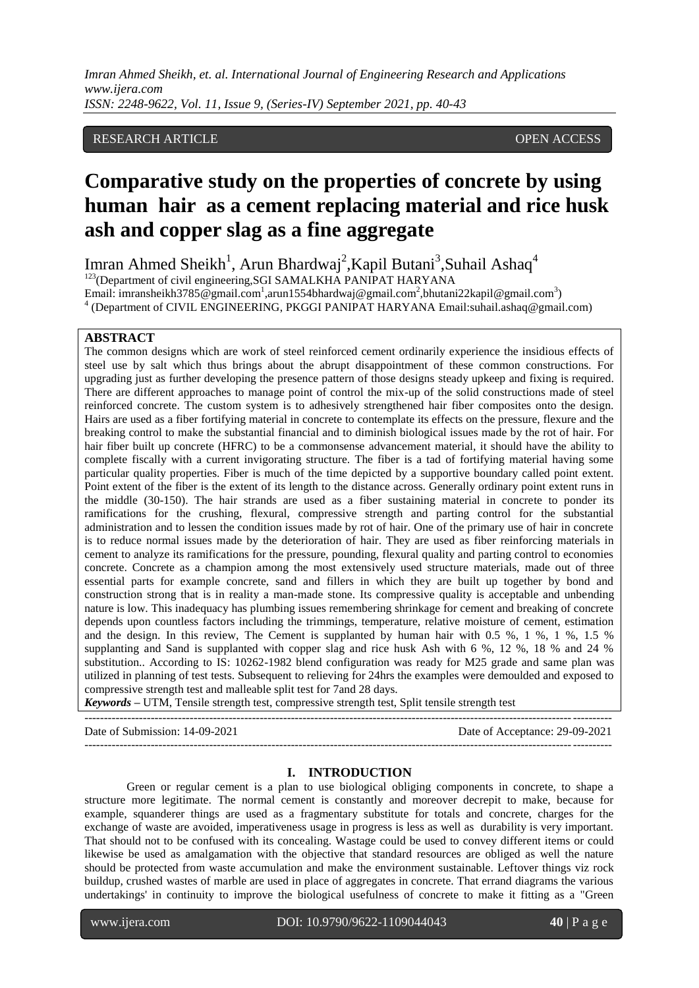*Imran Ahmed Sheikh, et. al. International Journal of Engineering Research and Applications www.ijera.com ISSN: 2248-9622, Vol. 11, Issue 9, (Series-IV) September 2021, pp. 40-43*

### RESEARCH ARTICLE **CONSERVERS** OPEN ACCESS

# **Comparative study on the properties of concrete by using human hair as a cement replacing material and rice husk ash and copper slag as a fine aggregate**

Imran Ahmed Sheikh<sup>1</sup>, Arun Bhardwaj<sup>2</sup>, Kapil Butani<sup>3</sup>, Suhail Ashaq<sup>4</sup> <sup>123</sup>(Department of civil engineering, SGI SAMALKHA PANIPAT HARYANA

Email: imransheikh3785@gmail.com<sup>1</sup>,arun1554bhardwaj@gmail.com<sup>2</sup>,bhutani22kapil@gmail.com<sup>3</sup>) <sup>4</sup> (Department of CIVIL ENGINEERING, PKGGI PANIPAT HARYANA Email:suhail.ashaq@gmail.com)

#### **ABSTRACT**

The common designs which are work of steel reinforced cement ordinarily experience the insidious effects of steel use by salt which thus brings about the abrupt disappointment of these common constructions. For upgrading just as further developing the presence pattern of those designs steady upkeep and fixing is required. There are different approaches to manage point of control the mix-up of the solid constructions made of steel reinforced concrete. The custom system is to adhesively strengthened hair fiber composites onto the design. Hairs are used as a fiber fortifying material in concrete to contemplate its effects on the pressure, flexure and the breaking control to make the substantial financial and to diminish biological issues made by the rot of hair. For hair fiber built up concrete (HFRC) to be a commonsense advancement material, it should have the ability to complete fiscally with a current invigorating structure. The fiber is a tad of fortifying material having some particular quality properties. Fiber is much of the time depicted by a supportive boundary called point extent. Point extent of the fiber is the extent of its length to the distance across. Generally ordinary point extent runs in the middle (30-150). The hair strands are used as a fiber sustaining material in concrete to ponder its ramifications for the crushing, flexural, compressive strength and parting control for the substantial administration and to lessen the condition issues made by rot of hair. One of the primary use of hair in concrete is to reduce normal issues made by the deterioration of hair. They are used as fiber reinforcing materials in cement to analyze its ramifications for the pressure, pounding, flexural quality and parting control to economies concrete. Concrete as a champion among the most extensively used structure materials, made out of three essential parts for example concrete, sand and fillers in which they are built up together by bond and construction strong that is in reality a man-made stone. Its compressive quality is acceptable and unbending nature is low. This inadequacy has plumbing issues remembering shrinkage for cement and breaking of concrete depends upon countless factors including the trimmings, temperature, relative moisture of cement, estimation and the design. In this review, The Cement is supplanted by human hair with 0.5 %, 1 %, 1 %, 1.5 % supplanting and Sand is supplanted with copper slag and rice husk Ash with 6 %, 12 %, 18 % and 24 % substitution.. According to IS: 10262-1982 blend configuration was ready for M25 grade and same plan was utilized in planning of test tests. Subsequent to relieving for 24hrs the examples were demoulded and exposed to compressive strength test and malleable split test for 7and 28 days.

*Keywords* **–** UTM, Tensile strength test, compressive strength test, Split tensile strength test

--------------------------------------------------------------------------------------------------------------------------------------- Date of Submission: 14-09-2021 Date of Acceptance: 29-09-2021

#### ---------------------------------------------------------------------------------------------------------------------------------------

#### **I. INTRODUCTION**

Green or regular cement is a plan to use biological obliging components in concrete, to shape a structure more legitimate. The normal cement is constantly and moreover decrepit to make, because for example, squanderer things are used as a fragmentary substitute for totals and concrete, charges for the exchange of waste are avoided, imperativeness usage in progress is less as well as durability is very important. That should not to be confused with its concealing. Wastage could be used to convey different items or could likewise be used as amalgamation with the objective that standard resources are obliged as well the nature should be protected from waste accumulation and make the environment sustainable. Leftover things viz rock buildup, crushed wastes of marble are used in place of aggregates in concrete. That errand diagrams the various undertakings' in continuity to improve the biological usefulness of concrete to make it fitting as a "Green

www.ijera.com DOI: 10.9790/9622-1109044043 **40** | P a g e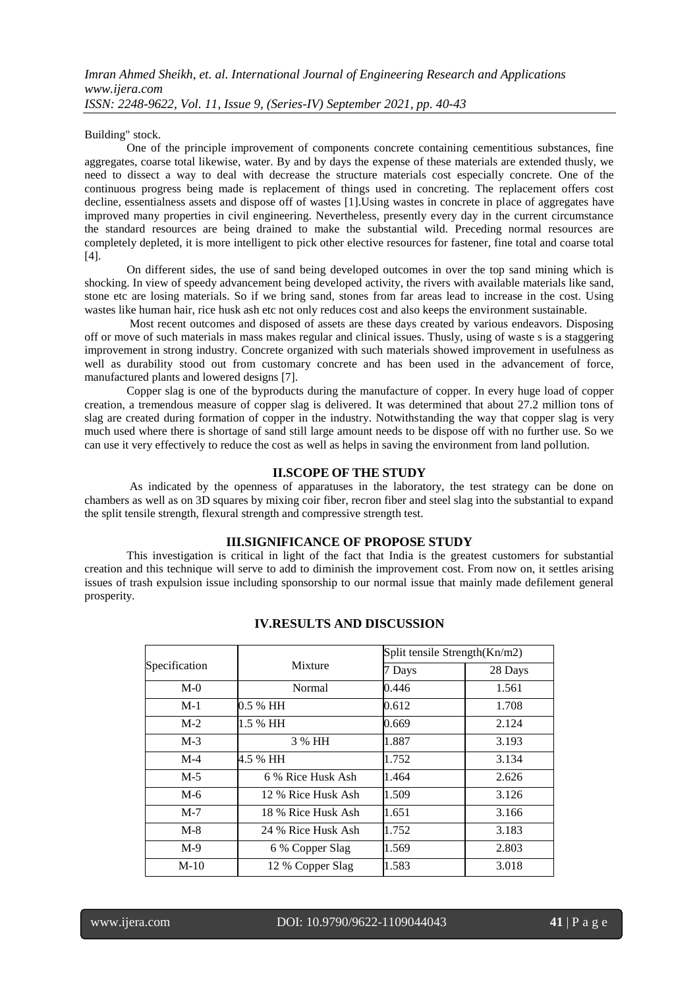Building" stock.

One of the principle improvement of components concrete containing cementitious substances, fine aggregates, coarse total likewise, water. By and by days the expense of these materials are extended thusly, we need to dissect a way to deal with decrease the structure materials cost especially concrete. One of the continuous progress being made is replacement of things used in concreting. The replacement offers cost decline, essentialness assets and dispose off of wastes [1].Using wastes in concrete in place of aggregates have improved many properties in civil engineering. Nevertheless, presently every day in the current circumstance the standard resources are being drained to make the substantial wild. Preceding normal resources are completely depleted, it is more intelligent to pick other elective resources for fastener, fine total and coarse total [4].

On different sides, the use of sand being developed outcomes in over the top sand mining which is shocking. In view of speedy advancement being developed activity, the rivers with available materials like sand, stone etc are losing materials. So if we bring sand, stones from far areas lead to increase in the cost. Using wastes like human hair, rice husk ash etc not only reduces cost and also keeps the environment sustainable.

Most recent outcomes and disposed of assets are these days created by various endeavors. Disposing off or move of such materials in mass makes regular and clinical issues. Thusly, using of waste s is a staggering improvement in strong industry. Concrete organized with such materials showed improvement in usefulness as well as durability stood out from customary concrete and has been used in the advancement of force, manufactured plants and lowered designs [7].

Copper slag is one of the byproducts during the manufacture of copper. In every huge load of copper creation, a tremendous measure of copper slag is delivered. It was determined that about 27.2 million tons of slag are created during formation of copper in the industry. Notwithstanding the way that copper slag is very much used where there is shortage of sand still large amount needs to be dispose off with no further use. So we can use it very effectively to reduce the cost as well as helps in saving the environment from land pollution.

#### **II.SCOPE OF THE STUDY**

As indicated by the openness of apparatuses in the laboratory, the test strategy can be done on chambers as well as on 3D squares by mixing coir fiber, recron fiber and steel slag into the substantial to expand the split tensile strength, flexural strength and compressive strength test.

#### **III.SIGNIFICANCE OF PROPOSE STUDY**

This investigation is critical in light of the fact that India is the greatest customers for substantial creation and this technique will serve to add to diminish the improvement cost. From now on, it settles arising issues of trash expulsion issue including sponsorship to our normal issue that mainly made defilement general prosperity.

| Specification | Mixture            | Split tensile Strength(Kn/m2) |         |
|---------------|--------------------|-------------------------------|---------|
|               |                    | 7 Days                        | 28 Days |
| $M-0$         | Normal             | 0.446                         | 1.561   |
| $M-1$         | 0.5 % HH           | 0.612                         | 1.708   |
| $M-2$         | 1.5 % HH           | 0.669                         | 2.124   |
| $M-3$         | 3 % HH             | 1.887                         | 3.193   |
| $M-4$         | 4.5 % HH           | 1.752                         | 3.134   |
| $M-5$         | 6 % Rice Husk Ash  | 1.464                         | 2.626   |
| $M-6$         | 12 % Rice Husk Ash | 1.509                         | 3.126   |
| $M-7$         | 18 % Rice Husk Ash | 1.651                         | 3.166   |
| $M-8$         | 24 % Rice Husk Ash | 1.752                         | 3.183   |
| $M-9$         | 6 % Copper Slag    | 1.569                         | 2.803   |
| $M-10$        | 12 % Copper Slag   | 1.583                         | 3.018   |

# **IV.RESULTS AND DISCUSSION**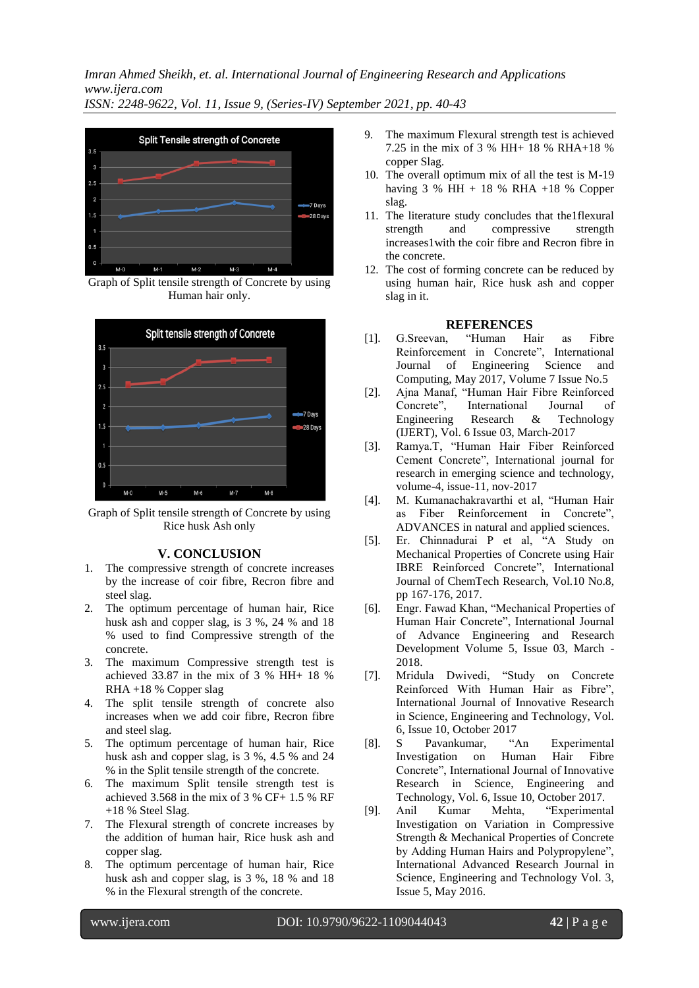*Imran Ahmed Sheikh, et. al. International Journal of Engineering Research and Applications www.ijera.com*

*ISSN: 2248-9622, Vol. 11, Issue 9, (Series-IV) September 2021, pp. 40-43*



Graph of Split tensile strength of Concrete by using Human hair only.



Graph of Split tensile strength of Concrete by using Rice husk Ash only

## **V. CONCLUSION**

- 1. The compressive strength of concrete increases by the increase of coir fibre, Recron fibre and steel slag.
- 2. The optimum percentage of human hair, Rice husk ash and copper slag, is 3 %, 24 % and 18 % used to find Compressive strength of the concrete.
- 3. The maximum Compressive strength test is achieved 33.87 in the mix of 3 % HH+ 18 % RHA +18 % Copper slag
- 4. The split tensile strength of concrete also increases when we add coir fibre, Recron fibre and steel slag.
- 5. The optimum percentage of human hair, Rice husk ash and copper slag, is 3 %, 4.5 % and 24 % in the Split tensile strength of the concrete.
- 6. The maximum Split tensile strength test is achieved 3.568 in the mix of  $3\%$  CF+ 1.5 % RF +18 % Steel Slag.
- 7. The Flexural strength of concrete increases by the addition of human hair, Rice husk ash and copper slag.
- 8. The optimum percentage of human hair, Rice husk ash and copper slag, is 3 %, 18 % and 18 % in the Flexural strength of the concrete.
- 9. The maximum Flexural strength test is achieved 7.25 in the mix of 3 % HH+ 18 % RHA+18 % copper Slag.
- 10. The overall optimum mix of all the test is M-19 having  $3 \%$  HH + 18 % RHA +18 % Copper slag.
- 11. The literature study concludes that the1flexural strength and compressive strength increases1with the coir fibre and Recron fibre in the concrete.
- 12. The cost of forming concrete can be reduced by using human hair, Rice husk ash and copper slag in it.

#### **REFERENCES**

- [1]. G.Sreevan, "Human Hair as Fibre Reinforcement in Concrete", International Journal of Engineering Science and Computing, May 2017, Volume 7 Issue No.5
- [2]. Ajna Manaf, "Human Hair Fibre Reinforced Concrete", International Journal of Engineering Research & Technology (IJERT), Vol. 6 Issue 03, March-2017
- [3]. Ramya.T, "Human Hair Fiber Reinforced Cement Concrete", International journal for research in emerging science and technology, volume-4, issue-11, nov-2017
- [4]. M. Kumanachakravarthi et al, "Human Hair as Fiber Reinforcement in Concrete", ADVANCES in natural and applied sciences.
- [5]. Er. Chinnadurai P et al, "A Study on Mechanical Properties of Concrete using Hair IBRE Reinforced Concrete", International Journal of ChemTech Research, Vol.10 No.8, pp 167-176, 2017.
- [6]. Engr. Fawad Khan, "Mechanical Properties of Human Hair Concrete", International Journal of Advance Engineering and Research Development Volume 5, Issue 03, March - 2018.
- [7]. Mridula Dwivedi, "Study on Concrete Reinforced With Human Hair as Fibre", International Journal of Innovative Research in Science, Engineering and Technology, Vol. 6, Issue 10, October 2017<br>S. Pavankumar. "An
- [8]. S Pavankumar, "An Experimental Investigation on Human Hair Fibre Concrete", International Journal of Innovative Research in Science, Engineering and Technology, Vol. 6, Issue 10, October 2017.
- [9]. Anil Kumar Mehta, "Experimental Investigation on Variation in Compressive Strength & Mechanical Properties of Concrete by Adding Human Hairs and Polypropylene", International Advanced Research Journal in Science, Engineering and Technology Vol. 3, Issue 5, May 2016.